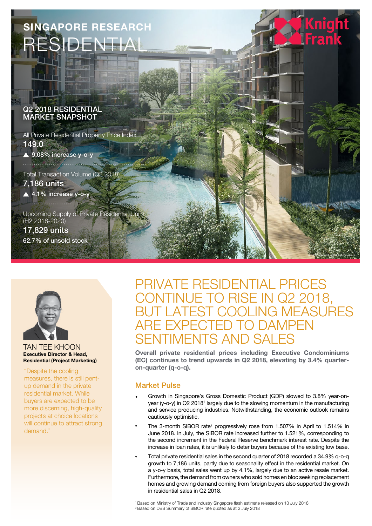



### TAN TEE KHOON Executive Director & Head, Residential (Project Marketing)

"Despite the cooling measures, there is still pentup demand in the private residential market. While buyers are expected to be more discerning, high-quality projects at choice locations will continue to attract strong demand."

# PRIVATE RESIDENTIAL PRICES TO RISE IN Q2 2018, **JEASURES** ARE EXPECTED TO DAMPEN TIMENTS AND SA

Overall private residential prices including Executive Condominiums (EC) continues to trend upwards in Q2 2018, elevating by 3.4% quarteron-quarter (q-o-q).

# Market Pulse

- Growth in Singapore's Gross Domestic Product (GDP) slowed to 3.8% year-onyear (y-o-y) in Q2 2018<sup>1</sup> largely due to the slowing momentum in the manufacturing and service producing industries. Notwithstanding, the economic outlook remains cautiously optimistic.
- The 3-month SIBOR rate<sup>2</sup> progressively rose from 1.507% in April to 1.514% in June 2018. In July, the SIBOR rate increased further to 1.521%, corresponding to the second increment in the Federal Reserve benchmark interest rate. Despite the increase in loan rates, it is unlikely to deter buyers because of the existing low base.
- Total private residential sales in the second quarter of 2018 recorded a 34.9% q-o-q growth to 7,186 units, partly due to seasonality effect in the residential market. On a y-o-y basis, total sales went up by 4.1%, largely due to an active resale market. Furthermore, the demand from owners who sold homes en bloc seeking replacement homes and growing demand coming from foreign buyers also supported the growth in residential sales in Q2 2018.

<sup>1</sup>Based on Ministry of Trade and Industry Singapore flash estimate released on 13 July 2018. <sup>2</sup> Based on DBS Summary of SIBOR rate quoted as at 2 July 2018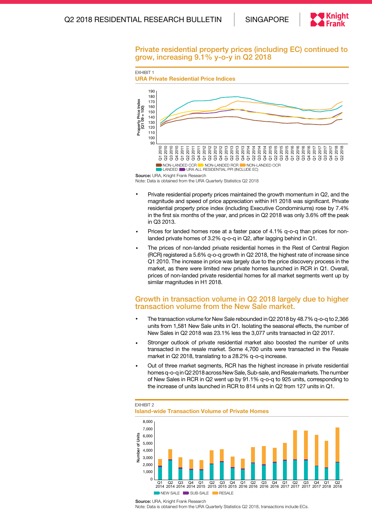

### Private residential property prices (including EC) continued to grow, increasing 9.1% y-o-y in Q2 2018



Note: Data is obtained from the URA Quarterly Statistics Q2 2018

- Private residential property prices maintained the growth momentum in Q2, and the magnitude and speed of price appreciation within H1 2018 was significant. Private residential property price index (including Executive Condominiums) rose by 7.4% in the first six months of the year, and prices in Q2 2018 was only 3.6% off the peak in Q3 2013.
- Prices for landed homes rose at a faster pace of 4.1% q-o-q than prices for nonlanded private homes of 3.2% q-o-q in Q2, after lagging behind in Q1.
- The prices of non-landed private residential homes in the Rest of Central Region (RCR) registered a 5.6% q-o-q growth in Q2 2018, the highest rate of increase since Q1 2010. The increase in price was largely due to the price discovery process in the market, as there were limited new private homes launched in RCR in Q1. Overall, prices of non-landed private residential homes for all market segments went up by similar magnitudes in H1 2018.

## Growth in transaction volume in Q2 2018 largely due to higher transaction volume from the New Sale market.

- The transaction volume for New Sale rebounded in Q2 2018 by 48.7% q-o-q to 2,366 units from 1,581 New Sale units in Q1. Isolating the seasonal effects, the number of New Sales in Q2 2018 was 23.1% less the 3,077 units transacted in Q2 2017.
- Stronger outlook of private residential market also boosted the number of units transacted in the resale market. Some 4,700 units were transacted in the Resale market in Q2 2018, translating to a 28.2% q-o-q increase.
- Out of three market segments, RCR has the highest increase in private residential homes q-o-q in Q2 2018 across New Sale, Sub-sale, and Resale markets. The number of New Sales in RCR in Q2 went up by 91.1% q-o-q to 925 units, corresponding to the increase of units launched in RCR to 814 units in Q2 from 127 units in Q1.



Island-wide Transaction Volume of Private Homes

EXHIBIT 2

Source: URA, Knight Frank Research Note: Data is obtained from the URA Quarterly Statistics Q2 2018, transactions include ECs.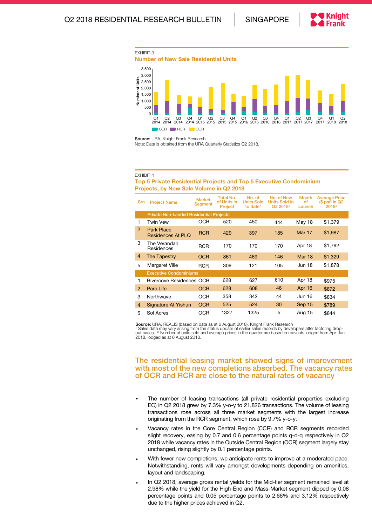



Source: URA, Knight Frank Research Note: Data is obtained from the URA Quarterly Statistics Q2 2018.

### EXHIBIT 4

### Top 5 Private Residential Projects and Top 5 Executive Condominium Projects, by New Sale Volume in Q2 2018

| S/n.           | <b>Project Name</b>                            | <b>Market</b><br><b>Segment</b> | <b>Total No.</b><br>of Units in<br>Project | No. of<br><b>Units Sold</b><br>to date <sup>1</sup> | No. of New<br><b>Units Sold in</b><br>Q2 2018 <sup>2</sup> | <b>Month</b><br>οf<br>Launch | <b>Average Price</b><br>$(S$ psf) in $Q2$<br>$2018^2$ |
|----------------|------------------------------------------------|---------------------------------|--------------------------------------------|-----------------------------------------------------|------------------------------------------------------------|------------------------------|-------------------------------------------------------|
|                | <b>Private Non-Landed Residential Projects</b> |                                 |                                            |                                                     |                                                            |                              |                                                       |
| 1              | Twin Vew                                       | <b>OCR</b>                      | 520                                        | 450                                                 | 444                                                        | May 18                       | \$1,379                                               |
| 2              | <b>Park Place</b><br>Residences At PLO         | <b>RCR</b>                      | 429                                        | 397                                                 | 185                                                        | <b>Mar 17</b>                | \$1,987                                               |
| 3              | The Verandah<br>Residences                     | <b>RCR</b>                      | 170                                        | 170                                                 | 170                                                        | Apr 18                       | \$1,792                                               |
| $\overline{4}$ | The Tapestry                                   | <b>OCR</b>                      | 861                                        | 469                                                 | 146                                                        | <b>Mar 18</b>                | \$1,329                                               |
| 5              | Margaret Ville                                 | <b>RCR</b>                      | 309                                        | 121                                                 | 105                                                        | <b>Jun 18</b>                | \$1,878                                               |
|                | <b>Executive Condominiums</b>                  |                                 |                                            |                                                     |                                                            |                              |                                                       |
| 1              | Rivercove Residences OCR                       |                                 | 628                                        | 627                                                 | 610                                                        | Apr 18                       | \$975                                                 |
| 2              | Parc Life                                      | <b>OCR</b>                      | 628                                        | 608                                                 | 46                                                         | Apr 16                       | \$872                                                 |
| 3              | Northwave                                      | <b>OCR</b>                      | 358                                        | 342                                                 | 44                                                         | Jun 16                       | \$834                                                 |
| $\overline{4}$ | Signature At Yishun                            | <b>OCR</b>                      | 525                                        | 524                                                 | 30                                                         | Sep 15                       | \$789                                                 |
| 5              | Sol Acres                                      | <b>OCR</b>                      | 1327                                       | 1325                                                | 5                                                          | Aug 15                       | \$844                                                 |

Source: URA, REALIS (based on data as at 6 August 2018), Knight Frank Research

<sup>1</sup> Sales data may vary arising from the status update of earlier sales records by developers after factoring drop-<br>out cases. <sup>2</sup> Number of units sold and average prices in the quarter are based on caveats lodged from Apr 2018, lodged as at 6 August 2018.

# The residential leasing market showed signs of improvement with most of the new completions absorbed. The vacancy rates of OCR and RCR are close to the natural rates of vacancy

- The number of leasing transactions (all private residential properties excluding EC) in Q2 2018 grew by 7.3% y-o-y to 21,826 transactions. The volume of leasing transactions rose across all three market segments with the largest increase originating from the RCR segment, which rose by 9.7% y-o-y.
- Vacancy rates in the Core Central Region (CCR) and RCR segments recorded slight recovery, easing by 0.7 and 0.6 percentage points q-o-q respectively in Q2 2018 while vacancy rates in the Outside Central Region (OCR) segment largely stay unchanged, rising slightly by 0.1 percentage points.
- With fewer new completions, we anticipate rents to improve at a moderated pace. Notwithstanding, rents will vary amongst developments depending on amenities, layout and landscaping.
- In Q2 2018, average gross rental yields for the Mid-tier segment remained level at 2.98% while the yield for the High-End and Mass-Market segment dipped by 0.08 percentage points and 0.05 percentage points to 2.66% and 3.12% respectively due to the higher prices achieved in Q2.